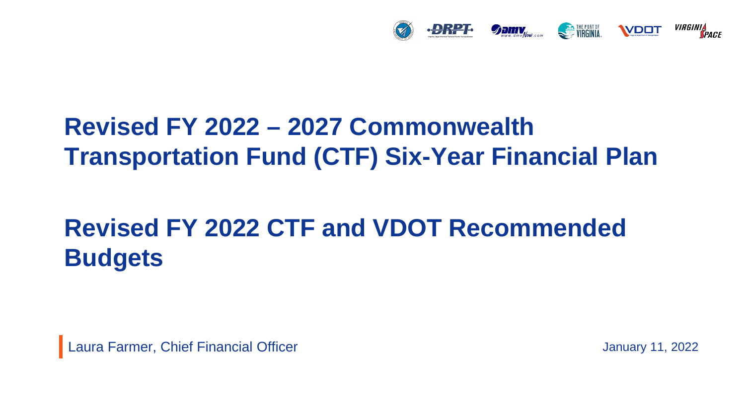

### **Revised FY 2022 – 2027 Commonwealth Transportation Fund (CTF) Six-Year Financial Plan**

# **Revised FY 2022 CTF and VDOT Recommended Budgets**

Laura Farmer, Chief Financial Officer

January 11, 2022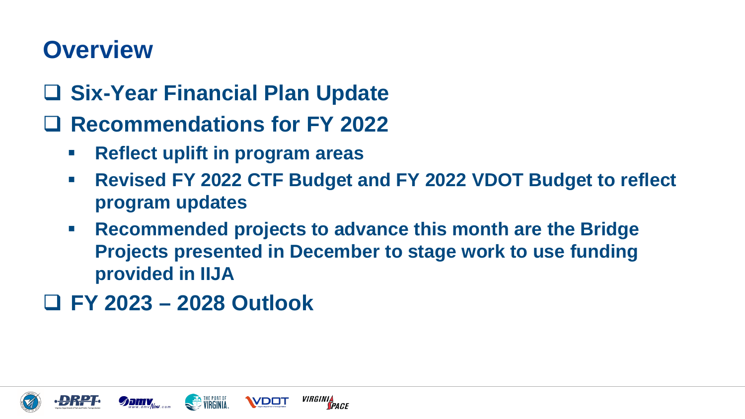# **Overview**

- **Six-Year Financial Plan Update**
- **Recommendations for FY 2022**
	- **Reflect uplift in program areas**
	- **Revised FY 2022 CTF Budget and FY 2022 VDOT Budget to reflect program updates**
	- **Recommended projects to advance this month are the Bridge Projects presented in December to stage work to use funding provided in IIJA**

*VIRGINIA*<br>Space

**WDDT** 

**FY 2023 – 2028 Outlook**

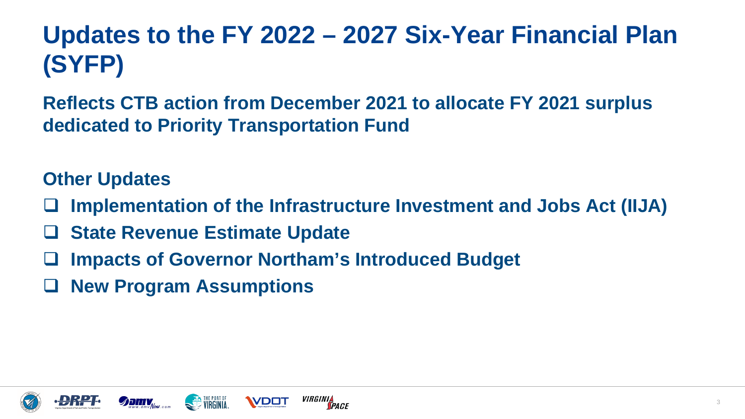# **Updates to the FY 2022 – 2027 Six-Year Financial Plan (SYFP)**

**Reflects CTB action from December 2021 to allocate FY 2021 surplus dedicated to Priority Transportation Fund**

#### **Other Updates**

- **Implementation of the Infrastructure Investment and Jobs Act (IIJA)**
- **State Revenue Estimate Update**
- **Impacts of Governor Northam's Introduced Budget**
- **New Program Assumptions**





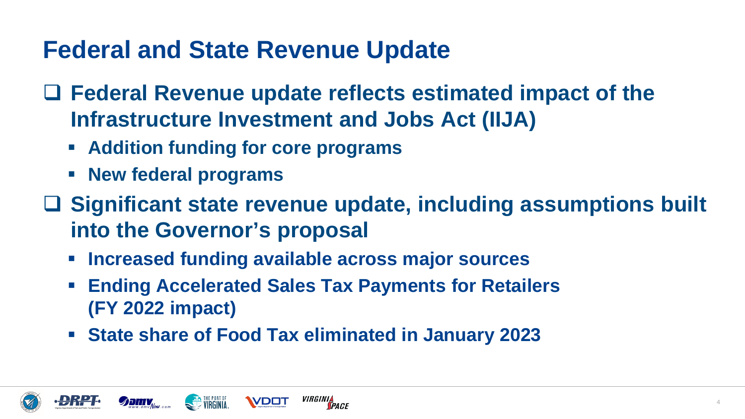# **Federal and State Revenue Update**

- **Federal Revenue update reflects estimated impact of the Infrastructure Investment and Jobs Act (IIJA)**
	- **Addition funding for core programs**
	- **New federal programs**
- **Significant state revenue update, including assumptions built into the Governor's proposal**
	- **Increased funding available across major sources**
	- **Ending Accelerated Sales Tax Payments for Retailers (FY 2022 impact)**
	- **State share of Food Tax eliminated in January 2023**





**WDD1**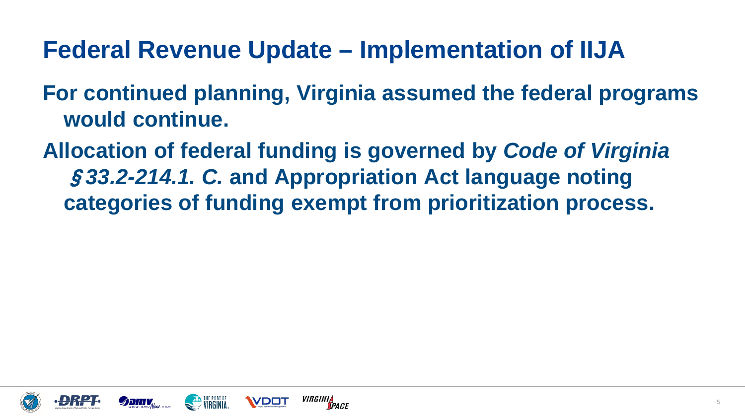### **Federal Revenue Update – Implementation of IIJA**

- **For continued planning, Virginia assumed the federal programs would continue.**
- **Allocation of federal funding is governed by** *Code of Virginia*  §*33.2-214.1. C.* **and Appropriation Act language noting categories of funding exempt from prioritization process.**







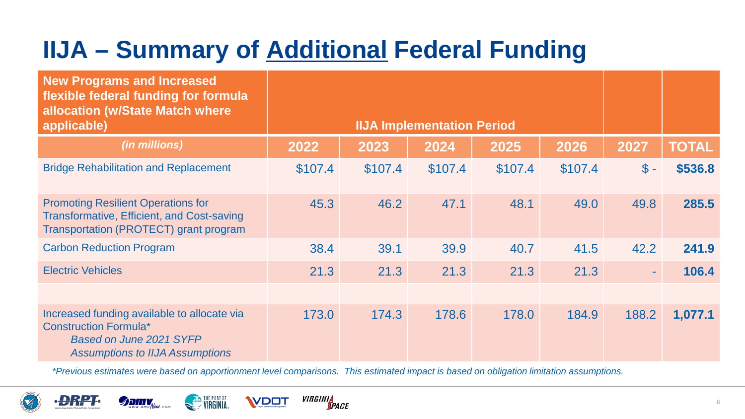# **IIJA – Summary of Additional Federal Funding**

| <b>New Programs and Increased</b><br>flexible federal funding for formula<br>allocation (w/State Match where<br>applicable)                             |         | <b>IIJA Implementation Period</b> |         |         |         |                 |              |  |  |  |  |  |
|---------------------------------------------------------------------------------------------------------------------------------------------------------|---------|-----------------------------------|---------|---------|---------|-----------------|--------------|--|--|--|--|--|
| (in millions)                                                                                                                                           | 2022    | 2023                              | 2024    | 2025    | 2026    | 2027            | <b>TOTAL</b> |  |  |  |  |  |
| <b>Bridge Rehabilitation and Replacement</b>                                                                                                            | \$107.4 | \$107.4                           | \$107.4 | \$107.4 | \$107.4 | $\mathsf{\$}$ - | \$536.8      |  |  |  |  |  |
| <b>Promoting Resilient Operations for</b><br><b>Transformative, Efficient, and Cost-saving</b><br>Transportation (PROTECT) grant program                | 45.3    | 46.2                              | 47.1    | 48.1    | 49.0    | 49.8            | 285.5        |  |  |  |  |  |
| <b>Carbon Reduction Program</b>                                                                                                                         | 38.4    | 39.1                              | 39.9    | 40.7    | 41.5    | 42.2            | 241.9        |  |  |  |  |  |
| <b>Electric Vehicles</b>                                                                                                                                | 21.3    | 21.3                              | 21.3    | 21.3    | 21.3    | $\sim$          | 106.4        |  |  |  |  |  |
|                                                                                                                                                         |         |                                   |         |         |         |                 |              |  |  |  |  |  |
| Increased funding available to allocate via<br><b>Construction Formula*</b><br><b>Based on June 2021 SYFP</b><br><b>Assumptions to IIJA Assumptions</b> | 173.0   | 174.3                             | 178.6   | 178.0   | 184.9   | 188.2           | 1,077.1      |  |  |  |  |  |

*\*Previous estimates were based on apportionment level comparisons. This estimated impact is based on obligation limitation assumptions.*





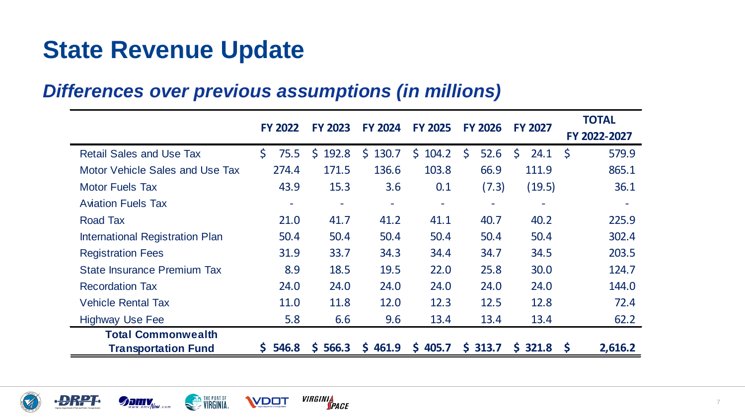# **State Revenue Update**

#### *Differences over previous assumptions (in millions)*

|                                        | <b>FY 2022</b>           | <b>FY 2023</b>           | <b>FY 2024</b>           | <b>FY 2025</b>           | <b>FY 2026</b>           | <b>FY 2027</b> | <b>TOTAL</b>        |
|----------------------------------------|--------------------------|--------------------------|--------------------------|--------------------------|--------------------------|----------------|---------------------|
|                                        |                          |                          |                          |                          |                          |                | FY 2022-2027        |
| <b>Retail Sales and Use Tax</b>        | Ś.<br>75.5               | 192.8<br>$\mathsf{S}$    | 130.7<br>$\mathsf{S}$    | $\mathsf{S}$<br>104.2    | 52.6<br>$\mathsf{S}$     | S<br>24.1      | <b>S</b><br>579.9   |
| Motor Vehicle Sales and Use Tax        | 274.4                    | 171.5                    | 136.6                    | 103.8                    | 66.9                     | 111.9          | 865.1               |
| <b>Motor Fuels Tax</b>                 | 43.9                     | 15.3                     | 3.6                      | 0.1                      | (7.3)                    | (19.5)         | 36.1                |
| <b>Aviation Fuels Tax</b>              | $\overline{\phantom{m}}$ | $\overline{\phantom{a}}$ | $\overline{\phantom{a}}$ | $\overline{\phantom{a}}$ | $\overline{\phantom{a}}$ |                |                     |
| <b>Road Tax</b>                        | 21.0                     | 41.7                     | 41.2                     | 41.1                     | 40.7                     | 40.2           | 225.9               |
| <b>International Registration Plan</b> | 50.4                     | 50.4                     | 50.4                     | 50.4                     | 50.4                     | 50.4           | 302.4               |
| <b>Registration Fees</b>               | 31.9                     | 33.7                     | 34.3                     | 34.4                     | 34.7                     | 34.5           | 203.5               |
| <b>State Insurance Premium Tax</b>     | 8.9                      | 18.5                     | 19.5                     | 22.0                     | 25.8                     | 30.0           | 124.7               |
| <b>Recordation Tax</b>                 | 24.0                     | 24.0                     | 24.0                     | 24.0                     | 24.0                     | 24.0           | 144.0               |
| <b>Vehicle Rental Tax</b>              | 11.0                     | 11.8                     | 12.0                     | 12.3                     | 12.5                     | 12.8           | 72.4                |
| <b>Highway Use Fee</b>                 | 5.8                      | 6.6                      | 9.6                      | 13.4                     | 13.4                     | 13.4           | 62.2                |
| <b>Total Commonwealth</b>              |                          |                          |                          |                          |                          |                |                     |
| <b>Transportation Fund</b>             | 546.8<br>S.              | 5566.3                   | $S$ 461.9                | \$405.7                  | \$ 313.7                 | $S$ 321.8      | 2,616.2<br><b>S</b> |







**WDDT**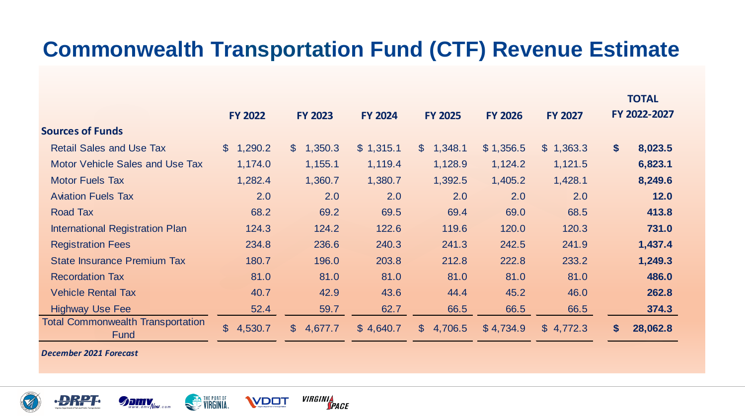#### **Commonwealth Transportation Fund (CTF) Revenue Estimate**

|                                                  |                           |                         |                |                           |                |                           |                   | <b>TOTAL</b> |
|--------------------------------------------------|---------------------------|-------------------------|----------------|---------------------------|----------------|---------------------------|-------------------|--------------|
|                                                  | <b>FY 2022</b>            | <b>FY 2023</b>          | <b>FY 2024</b> | <b>FY 2025</b>            | <b>FY 2026</b> | <b>FY 2027</b>            |                   | FY 2022-2027 |
| <b>Sources of Funds</b>                          |                           |                         |                |                           |                |                           |                   |              |
| <b>Retail Sales and Use Tax</b>                  | $\mathbb{S}$<br>1,290.2   | 1,350.3<br>$\mathbb{S}$ | \$1,315.1      | 1,348.1<br>$\mathbb{S}^-$ | \$1,356.5      | 1,363.3<br>$\mathbb{S}^-$ | $\boldsymbol{\$}$ | 8,023.5      |
| <b>Motor Vehicle Sales and Use Tax</b>           | 1,174.0                   | 1,155.1                 | 1,119.4        | 1,128.9                   | 1,124.2        | 1,121.5                   |                   | 6,823.1      |
| <b>Motor Fuels Tax</b>                           | 1,282.4                   | 1,360.7                 | 1,380.7        | 1,392.5                   | 1,405.2        | 1,428.1                   |                   | 8,249.6      |
| <b>Aviation Fuels Tax</b>                        | 2.0                       | 2.0                     | 2.0            | 2.0                       | 2.0            | 2.0                       |                   | 12.0         |
| <b>Road Tax</b>                                  | 68.2                      | 69.2                    | 69.5           | 69.4                      | 69.0           | 68.5                      |                   | 413.8        |
| <b>International Registration Plan</b>           | 124.3                     | 124.2                   | 122.6          | 119.6                     | 120.0          | 120.3                     |                   | 731.0        |
| <b>Registration Fees</b>                         | 234.8                     | 236.6                   | 240.3          | 241.3                     | 242.5          | 241.9                     |                   | 1,437.4      |
| <b>State Insurance Premium Tax</b>               | 180.7                     | 196.0                   | 203.8          | 212.8                     | 222.8          | 233.2                     |                   | 1,249.3      |
| <b>Recordation Tax</b>                           | 81.0                      | 81.0                    | 81.0           | 81.0                      | 81.0           | 81.0                      |                   | 486.0        |
| <b>Vehicle Rental Tax</b>                        | 40.7                      | 42.9                    | 43.6           | 44.4                      | 45.2           | 46.0                      |                   | 262.8        |
| <b>Highway Use Fee</b>                           | 52.4                      | 59.7                    | 62.7           | 66.5                      | 66.5           | 66.5                      |                   | 374.3        |
| <b>Total Commonwealth Transportation</b><br>Fund | $\mathfrak{S}$<br>4,530.7 | \$<br>4,677.7           | \$4,640.7      | 4,706.5<br>$\mathbb{S}$   | \$4,734.9      | \$4,772.3                 | \$                | 28,062.8     |

*December 2021 Forecast*









**VDOT**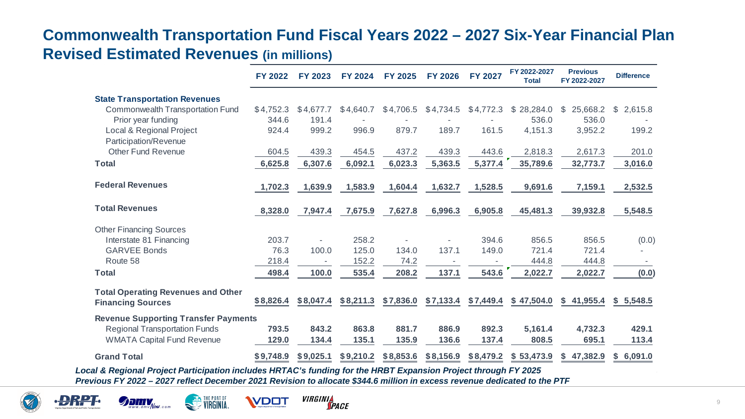#### **Commonwealth Transportation Fund Fiscal Years 2022 – 2027 Six-Year Financial Plan Revised Estimated Revenues (in millions)**

|                                             | <b>FY 2022</b> | <b>FY 2023</b> | <b>FY 2024</b> | <b>FY 2025</b> | <b>FY 2026</b> | <b>FY 2027</b> | FY 2022-2027<br><b>Total</b> | <b>Previous</b><br>FY 2022-2027 | <b>Difference</b>      |
|---------------------------------------------|----------------|----------------|----------------|----------------|----------------|----------------|------------------------------|---------------------------------|------------------------|
| <b>State Transportation Revenues</b>        |                |                |                |                |                |                |                              |                                 |                        |
| <b>Commonwealth Transportation Fund</b>     | \$4,752.3      | \$4,677.7      | \$4,640.7      | \$4,706.5      | \$4,734.5      | \$4,772.3      | \$28,284.0                   | 25,668.2<br>\$                  | 2,615.8<br>$\mathbb S$ |
| Prior year funding                          | 344.6          | 191.4          |                |                |                |                | 536.0                        | 536.0                           |                        |
| Local & Regional Project                    | 924.4          | 999.2          | 996.9          | 879.7          | 189.7          | 161.5          | 4,151.3                      | 3,952.2                         | 199.2                  |
| Participation/Revenue                       |                |                |                |                |                |                |                              |                                 |                        |
| <b>Other Fund Revenue</b>                   | 604.5          | 439.3          | 454.5          | 437.2          | 439.3          | 443.6          | 2,818.3                      | 2,617.3                         | 201.0                  |
| <b>Total</b>                                | 6,625.8        | 6,307.6        | 6,092.1        | 6,023.3        | 5,363.5        | 5,377.4        | 35,789.6                     | 32,773.7                        | 3,016.0                |
|                                             |                |                |                |                |                |                |                              |                                 |                        |
| <b>Federal Revenues</b>                     | 1,702.3        | 1,639.9        | 1,583.9        | 1,604.4        | 1,632.7        | 1,528.5        | 9,691.6                      | 7,159.1                         | 2,532.5                |
| <b>Total Revenues</b>                       | 8,328.0        | 7,947.4        | 7,675.9        | 7,627.8        | 6,996.3        | 6,905.8        | 45,481.3                     | 39,932.8                        | 5,548.5                |
| <b>Other Financing Sources</b>              |                |                |                |                |                |                |                              |                                 |                        |
| Interstate 81 Financing                     | 203.7          |                | 258.2          |                |                | 394.6          | 856.5                        | 856.5                           | (0.0)                  |
| <b>GARVEE Bonds</b>                         | 76.3           | 100.0          | 125.0          | 134.0          | 137.1          | 149.0          | 721.4                        | 721.4                           |                        |
| Route 58                                    | 218.4          |                | 152.2          | 74.2           |                |                | 444.8                        | 444.8                           |                        |
| <b>Total</b>                                | 498.4          | 100.0          | 535.4          | 208.2          | 137.1          | 543.6          | 2,022.7                      | 2,022.7                         | (0.0)                  |
| <b>Total Operating Revenues and Other</b>   |                |                |                |                |                |                |                              |                                 |                        |
| <b>Financing Sources</b>                    | \$8,826.4      | \$8,047.4      | \$8,211.3      | \$7,836.0      | \$7,133.4      | \$7,449.4      | \$47,504.0                   | \$41,955.4                      | \$5,548.5              |
| <b>Revenue Supporting Transfer Payments</b> |                |                |                |                |                |                |                              |                                 |                        |
| <b>Regional Transportation Funds</b>        | 793.5          | 843.2          | 863.8          | 881.7          | 886.9          | 892.3          | 5,161.4                      | 4,732.3                         | 429.1                  |
| <b>WMATA Capital Fund Revenue</b>           | 129.0          | 134.4          | 135.1          | 135.9          | 136.6          | 137.4          | 808.5                        | 695.1                           | 113.4                  |
| <b>Grand Total</b>                          | \$9,748.9      | \$9,025.1      | \$9,210.2      | \$8,853.6      | \$8,156.9      | \$8,479.2      | \$53,473.9                   | \$47,382.9                      | 6,091.0<br>S.          |

*Local & Regional Project Participation includes HRTAC's funding for the HRBT Expansion Project through FY 2025 Previous FY 2022 – 2027 reflect December 2021 Revision to allocate \$344.6 million in excess revenue dedicated to the PTF* 







**VIRGINIA** 

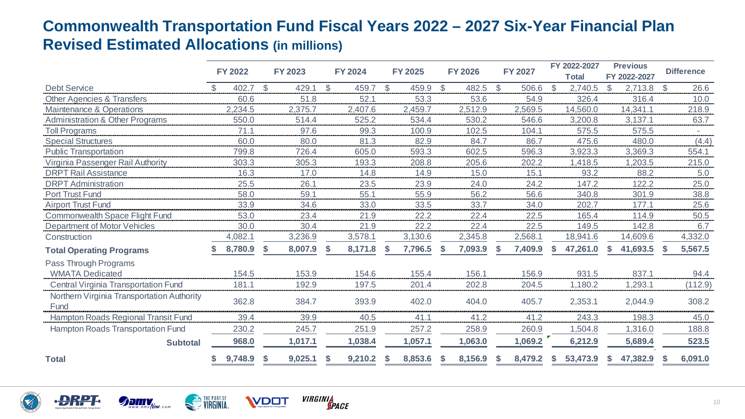#### **Commonwealth Transportation Fund Fiscal Years 2022 – 2027 Six-Year Financial Plan Revised Estimated Allocations (in millions)**

|                                                    | <b>FY 2022</b> |              | <b>FY 2023</b> |              | <b>FY 2024</b> |              | <b>FY 2025</b> |               | <b>FY 2026</b> |              | <b>FY 2027</b> |    | FY 2022-2027<br><b>Total</b> |               | <b>Previous</b><br>FY 2022-2027 |               | <b>Difference</b> |
|----------------------------------------------------|----------------|--------------|----------------|--------------|----------------|--------------|----------------|---------------|----------------|--------------|----------------|----|------------------------------|---------------|---------------------------------|---------------|-------------------|
| <b>Debt Service</b>                                | 402.7          | $\mathbb{S}$ | 429.1          | $\mathbb{S}$ | 459.7          | $\mathbb{S}$ | 459.9          | <sup>\$</sup> | 482.5          | $\mathbb{S}$ | 506.6          | \$ | 2,740.5                      | $\mathcal{L}$ | 2,713.8                         | <sup>\$</sup> | 26.6              |
| <b>Other Agencies &amp; Transfers</b>              | 60.6           |              | 51.8           |              | 52.1           |              | 53.3           |               | 53.6           |              | 54.9           |    | 326.4                        |               | 316.4                           |               | 10.0              |
| Maintenance & Operations                           | 2,234.5        |              | 2,375.7        |              | 2,407.6        |              | 2,459.7        |               | 2,512.9        |              | 2,569.5        |    | 14,560.0                     |               | 14,341.1                        |               | 218.9             |
| <b>Administration &amp; Other Programs</b>         | 550.0          |              | 514.4          |              | 525.2          |              | 534.4          |               | 530.2          |              | 546.6          |    | 3,200.8                      |               | 3,137.1                         |               | 63.7              |
| <b>Toll Programs</b>                               | 71.1           |              | 97.6           |              | 99.3           |              | 100.9          |               | 102.5          |              | 104.1          |    | 575.5                        |               | 575.5                           |               |                   |
| <b>Special Structures</b>                          | 60.0           |              | 80.0           |              | 81.3           |              | 82.9           |               | 84.7           |              | 86.7           |    | 475.6                        |               | 480.0                           |               | (4.4)             |
| <b>Public Transportation</b>                       | 799.8          |              | 726.4          |              | 605.0          |              | 593.3          |               | 602.5          |              | 596.3          |    | 3,923.3                      |               | 3,369.3                         |               | 554.1             |
| Virginia Passenger Rail Authority                  | 303.3          |              | 305.3          |              | 193.3          |              | 208.8          |               | 205.6          |              | 202.2          |    | 1,418.5                      |               | 1,203.5                         |               | 215.0             |
| <b>DRPT Rail Assistance</b>                        | 16.3           |              | 17.0           |              | 14.8           |              | 14.9           |               | 15.0           |              | 15.1           |    | 93.2                         |               | 88.2                            |               | 5.0               |
| <b>DRPT</b> Administration                         | 25.5           |              | 26.1           |              | 23.5           |              | 23.9           |               | 24.0           |              | 24.2           |    | 147.2                        |               | 122.2                           |               | 25.0              |
| Port Trust Fund                                    | 58.0           |              | 59.1           |              | 55.1           |              | 55.9           |               | 56.2           |              | 56.6           |    | 340.8                        |               | 301.9                           |               | 38.8              |
| <b>Airport Trust Fund</b>                          | 33.9           |              | 34.6           |              | 33.0           |              | 33.5           |               | 33.7           |              | 34.0           |    | 202.7                        |               | 177.1                           |               | 25.6              |
| Commonwealth Space Flight Fund                     | 53.0           |              | 23.4           |              | 21.9           |              | 22.2           |               | 22.4           |              | 22.5           |    | 165.4                        |               | 114.9                           |               | 50.5              |
| <b>Department of Motor Vehicles</b>                | 30.0           |              | 30.4           |              | 21.9           |              | 22.2           |               | 22.4           |              | 22.5           |    | 149.5                        |               | 142.8                           |               | 6.7               |
| Construction                                       | 4,082.1        |              | 3,236.9        |              | 3,578.1        |              | 3,130.6        |               | 2,345.8        |              | 2,568.1        |    | 18,941.6                     |               | 14,609.6                        |               | 4,332.0           |
| <b>Total Operating Programs</b>                    | 8,780.9        | \$           | 8,007.9        |              | 8,171.8        |              | 7,796.5        | S             | 7,093.9        | ъ            | 7,409.9        | S. | 47,261.0                     | S             | 41,693.5                        |               | 5,567.5           |
| Pass Through Programs                              |                |              |                |              |                |              |                |               |                |              |                |    |                              |               |                                 |               |                   |
| <b>WMATA Dedicated</b>                             | 154.5          |              | 153.9          |              | 154.6          |              | 155.4          |               | 156.1          |              | 156.9          |    | 931.5                        |               | 837.1                           |               | 94.4              |
| <b>Central Virginia Transportation Fund</b>        | 181.1          |              | 192.9          |              | 197.5          |              | 201.4          |               | 202.8          |              | 204.5          |    | 1,180.2                      |               | 1,293.1                         |               | (112.9)           |
| Northern Virginia Transportation Authority<br>Fund | 362.8          |              | 384.7          |              | 393.9          |              | 402.0          |               | 404.0          |              | 405.7          |    | 2,353.1                      |               | 2,044.9                         |               | 308.2             |
| Hampton Roads Regional Transit Fund                | 39.4           |              | 39.9           |              | 40.5           |              | 41.1           |               | 41.2           |              | 41.2           |    | 243.3                        |               | 198.3                           |               | 45.0              |
| <b>Hampton Roads Transportation Fund</b>           | 230.2          |              | 245.7          |              | 251.9          |              | 257.2          |               | 258.9          |              | 260.9          |    | 1,504.8                      |               | 1,316.0                         |               | 188.8             |
| <b>Subtotal</b>                                    | 968.0          |              | 1,017.1        |              | 1,038.4        |              | 1,057.1        |               | 1,063.0        |              | 1,069.2        |    | 6,212.9                      |               | 5,689.4                         |               | 523.5             |
| <b>Total</b>                                       | 9,748.9        |              | 9,025.1        |              | 9,210.2        | S            | 8,853.6        |               | 8,156.9        |              | 8,479.2        | S. | 53,473.9                     | S             | 47,382.9                        |               | 6,091.0           |





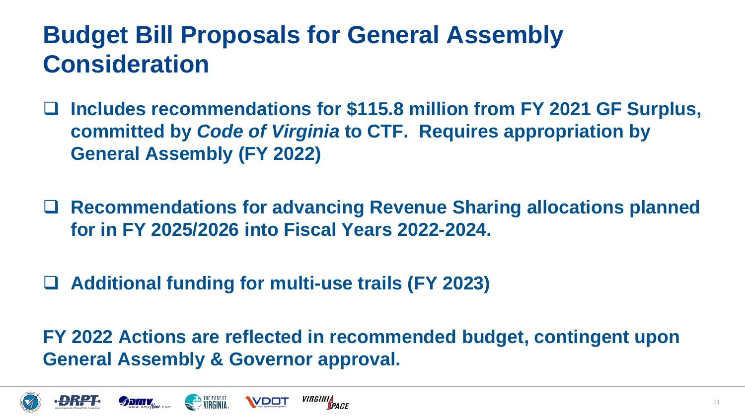# **Budget Bill Proposals for General Assembly Consideration**

- **Includes recommendations for \$115.8 million from FY 2021 GF Surplus, committed by** *Code of Virginia* **to CTF. Requires appropriation by General Assembly (FY 2022)**
- **Recommendations for advancing Revenue Sharing allocations planned for in FY 2025/2026 into Fiscal Years 2022-2024.**
- **Additional funding for multi-use trails (FY 2023)**

**FY 2022 Actions are reflected in recommended budget, contingent upon General Assembly & Governor approval.**

*VIRGINIA*<br>Space



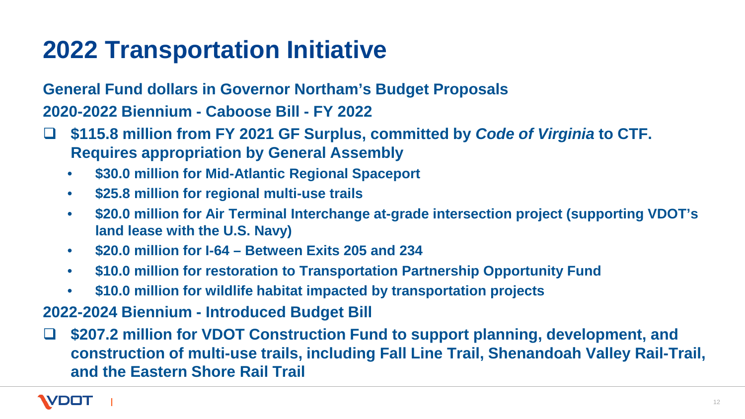### **2022 Transportation Initiative**

**General Fund dollars in Governor Northam's Budget Proposals 2020-2022 Biennium - Caboose Bill - FY 2022**

- **\$115.8 million from FY 2021 GF Surplus, committed by** *Code of Virginia* **to CTF. Requires appropriation by General Assembly**
	- **\$30.0 million for Mid-Atlantic Regional Spaceport**
	- **\$25.8 million for regional multi-use trails**
	- **\$20.0 million for Air Terminal Interchange at-grade intersection project (supporting VDOT's land lease with the U.S. Navy)**
	- **\$20.0 million for I-64 – Between Exits 205 and 234**
	- **\$10.0 million for restoration to Transportation Partnership Opportunity Fund**
	- **\$10.0 million for wildlife habitat impacted by transportation projects**

**2022-2024 Biennium - Introduced Budget Bill**

 **\$207.2 million for VDOT Construction Fund to support planning, development, and construction of multi-use trails, including Fall Line Trail, Shenandoah Valley Rail-Trail, and the Eastern Shore Rail Trail**

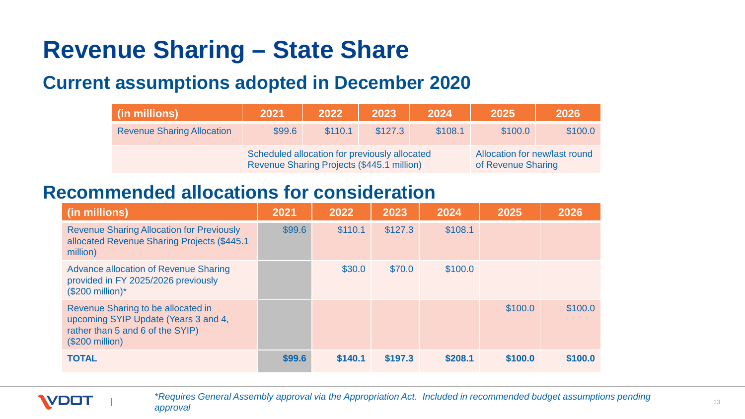# **Revenue Sharing – State Share**

#### **Current assumptions adopted in December 2020**

| (in millions)                     | 2021                                                                                        | 2022    | 2023    | 2024    | 2025                                                | 2026    |
|-----------------------------------|---------------------------------------------------------------------------------------------|---------|---------|---------|-----------------------------------------------------|---------|
| <b>Revenue Sharing Allocation</b> | \$99.6                                                                                      | \$110.1 | \$127.3 | \$108.1 | \$100.0                                             | \$100.0 |
|                                   | Scheduled allocation for previously allocated<br>Revenue Sharing Projects (\$445.1 million) |         |         |         | Allocation for new/last round<br>of Revenue Sharing |         |

#### **Recommended allocations for consideration**

| (in millions)                                                                                                                      | 2021   | 2022    | 2023    | 2024    | 2025    | 2026    |
|------------------------------------------------------------------------------------------------------------------------------------|--------|---------|---------|---------|---------|---------|
| <b>Revenue Sharing Allocation for Previously</b><br>allocated Revenue Sharing Projects (\$445.1<br>million)                        | \$99.6 | \$110.1 | \$127.3 | \$108.1 |         |         |
| <b>Advance allocation of Revenue Sharing</b><br>provided in FY 2025/2026 previously<br>$($200$ million)*                           |        | \$30.0  | \$70.0  | \$100.0 |         |         |
| Revenue Sharing to be allocated in<br>upcoming SYIP Update (Years 3 and 4,<br>rather than 5 and 6 of the SYIP)<br>$($200$ million) |        |         |         |         | \$100.0 | \$100.0 |
| <b>TOTAL</b>                                                                                                                       | \$99.6 | \$140.1 | \$197.3 | \$208.1 | \$100.0 | \$100.0 |



*\*Requires General Assembly approval via the Appropriation Act. Included in recommended budget assumptions pending approval*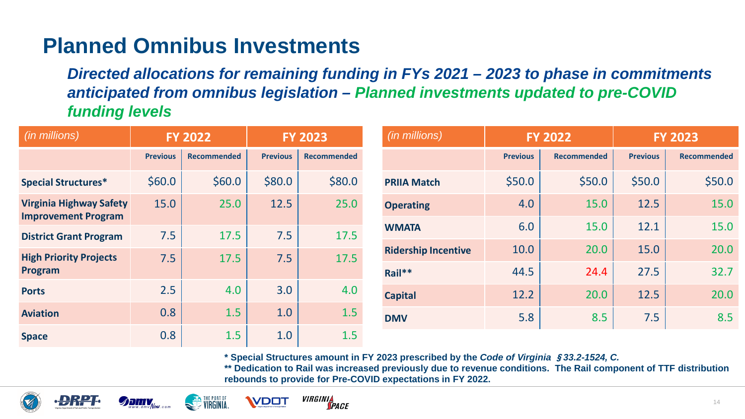#### **Planned Omnibus Investments**

*Directed allocations for remaining funding in FYs 2021 – 2023 to phase in commitments anticipated from omnibus legislation – Planned investments updated to pre-COVID funding levels*

| (in millions)                                                | <b>FY 2022</b>  |                    | <b>FY 2023</b>  |                    | (in millions)              |                 | <b>FY 2022</b>     |                 | <b>FY 2023</b>     |
|--------------------------------------------------------------|-----------------|--------------------|-----------------|--------------------|----------------------------|-----------------|--------------------|-----------------|--------------------|
|                                                              | <b>Previous</b> | <b>Recommended</b> | <b>Previous</b> | <b>Recommended</b> |                            | <b>Previous</b> | <b>Recommended</b> | <b>Previous</b> | <b>Recommended</b> |
| <b>Special Structures*</b>                                   | \$60.0\$        | \$60.0\$           | \$80.0          | \$80.0             | <b>PRIIA Match</b>         | \$50.0          | \$50.0             | \$50.0          | \$50.0             |
| <b>Virginia Highway Safety</b><br><b>Improvement Program</b> | 15.0            | 25.0               | 12.5            | 25.0               | <b>Operating</b>           | 4.0             | 15.0               | 12.5            | 15.0               |
| <b>District Grant Program</b>                                | 7.5             | 17.5               | 7.5             | 17.5               | <b>WMATA</b>               | 6.0             | 15.0               | 12.1            | 15.0               |
| <b>High Priority Projects</b>                                | 7.5             | 17.5               | 7.5             | 17.5               | <b>Ridership Incentive</b> | 10.0            | 20.0               | 15.0            | 20.0               |
| Program                                                      |                 |                    |                 |                    | Rail**                     | 44.5            | 24.4               | 27.5            | 32.7               |
| <b>Ports</b>                                                 | 2.5             | 4.0                | 3.0             | 4.0                | <b>Capital</b>             | 12.2            | 20.0               | 12.5            | 20.0               |
| <b>Aviation</b>                                              | 0.8             | 1.5                | 1.0             | 1.5                | <b>DMV</b>                 | 5.8             | 8.5                | 7.5             | 8.5                |
| <b>Space</b>                                                 | 0.8             | 1.5                | 1.0             | 1.5                |                            |                 |                    |                 |                    |

**\* Special Structures amount in FY 2023 prescribed by the** *Code of Virginia* §*33.2-1524, C.*

**\*\* Dedication to Rail was increased previously due to revenue conditions. The Rail component of TTF distribution rebounds to provide for Pre-COVID expectations in FY 2022.**







*VIRGINIA* **VDOT TPACE**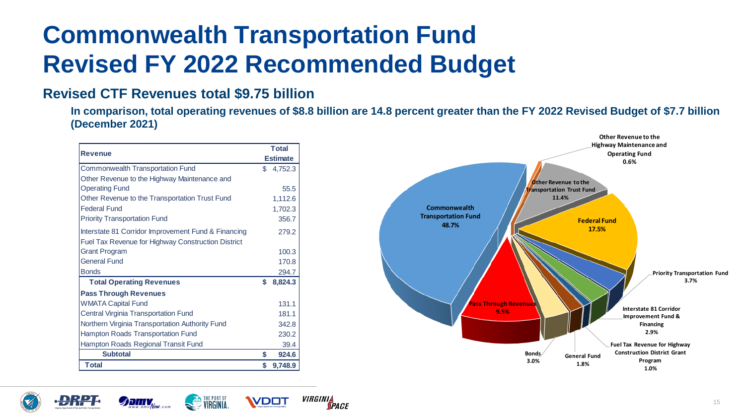# **Commonwealth Transportation Fund Revised FY 2022 Recommended Budget**

#### **Revised CTF Revenues total \$9.75 billion**

**In comparison, total operating revenues of \$8.8 billion are 14.8 percent greater than the FY 2022 Revised Budget of \$7.7 billion (December 2021)**

| <b>Revenue</b>                                            |     | <b>Total</b>    |
|-----------------------------------------------------------|-----|-----------------|
|                                                           |     | <b>Estimate</b> |
| <b>Commonwealth Transportation Fund</b>                   | \$. | 4,752.3         |
| Other Revenue to the Highway Maintenance and              |     |                 |
| <b>Operating Fund</b>                                     |     | 55.5            |
| Other Revenue to the Transportation Trust Fund            |     | 1,112.6         |
| <b>Federal Fund</b>                                       |     | 1,702.3         |
| <b>Priority Transportation Fund</b>                       |     | 356.7           |
| Interstate 81 Corridor Improvement Fund & Financing       |     | 279.2           |
| <b>Fuel Tax Revenue for Highway Construction District</b> |     |                 |
| <b>Grant Program</b>                                      |     | 100.3           |
| <b>General Fund</b>                                       |     | 170.8           |
| <b>Bonds</b>                                              |     | 294.7           |
| <b>Total Operating Revenues</b>                           | \$  | 8,824.3         |
| <b>Pass Through Revenues</b>                              |     |                 |
| <b>WMATA Capital Fund</b>                                 |     | 131.1           |
| <b>Central Virginia Transportation Fund</b>               |     | 181.1           |
| Northern Virginia Transportation Authority Fund           |     | 342.8           |
| Hampton Roads Transportation Fund                         |     | 230.2           |
| Hampton Roads Regional Transit Fund                       |     | 39.4            |
| <b>Subtotal</b>                                           | \$  | 924.6           |
| <b>Total</b>                                              | \$  | 9,748.9         |









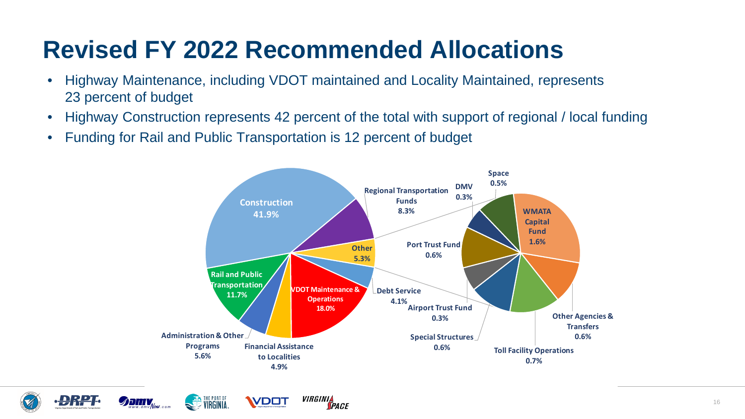# **Revised FY 2022 Recommended Allocations**

- Highway Maintenance, including VDOT maintained and Locality Maintained, represents 23 percent of budget
- Highway Construction represents 42 percent of the total with support of regional / local funding
- Funding for Rail and Public Transportation is 12 percent of budget









**VDOT**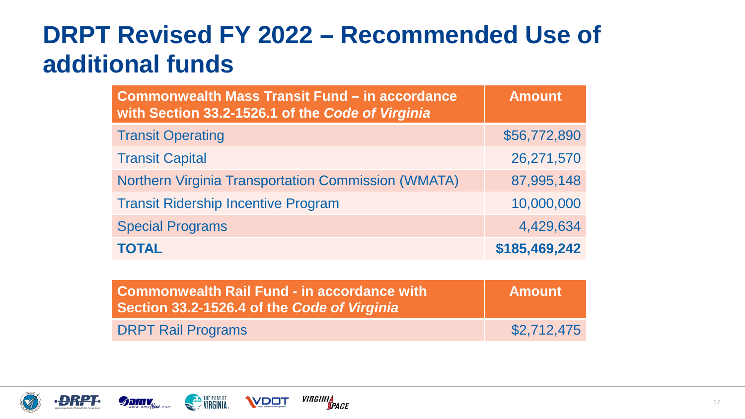# **DRPT Revised FY 2022 – Recommended Use of additional funds**

| <b>Commonwealth Mass Transit Fund - in accordance</b><br>with Section 33.2-1526.1 of the Code of Virginia | <b>Amount</b> |
|-----------------------------------------------------------------------------------------------------------|---------------|
| <b>Transit Operating</b>                                                                                  | \$56,772,890  |
| <b>Transit Capital</b>                                                                                    | 26,271,570    |
| <b>Northern Virginia Transportation Commission (WMATA)</b>                                                | 87,995,148    |
| <b>Transit Ridership Incentive Program</b>                                                                | 10,000,000    |
| <b>Special Programs</b>                                                                                   | 4,429,634     |
| <b>TOTAL</b>                                                                                              | \$185,469,242 |

| <b>Commonwealth Rail Fund - in accordance with</b><br>Section 33.2-1526.4 of the Code of Virginia | <b>Amount</b> |
|---------------------------------------------------------------------------------------------------|---------------|
| <b>DRPT Rail Programs</b>                                                                         | \$2,712,475   |







**VDOT**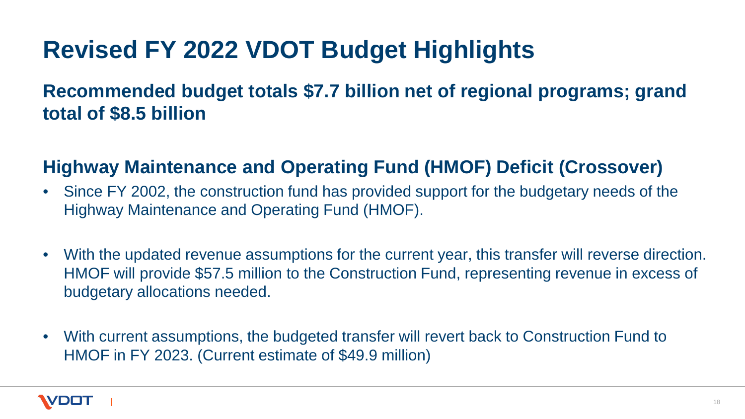# **Revised FY 2022 VDOT Budget Highlights**

#### **Recommended budget totals \$7.7 billion net of regional programs; grand total of \$8.5 billion**

#### **Highway Maintenance and Operating Fund (HMOF) Deficit (Crossover)**

- Since FY 2002, the construction fund has provided support for the budgetary needs of the Highway Maintenance and Operating Fund (HMOF).
- With the updated revenue assumptions for the current year, this transfer will reverse direction. HMOF will provide \$57.5 million to the Construction Fund, representing revenue in excess of budgetary allocations needed.
- With current assumptions, the budgeted transfer will revert back to Construction Fund to HMOF in FY 2023. (Current estimate of \$49.9 million)

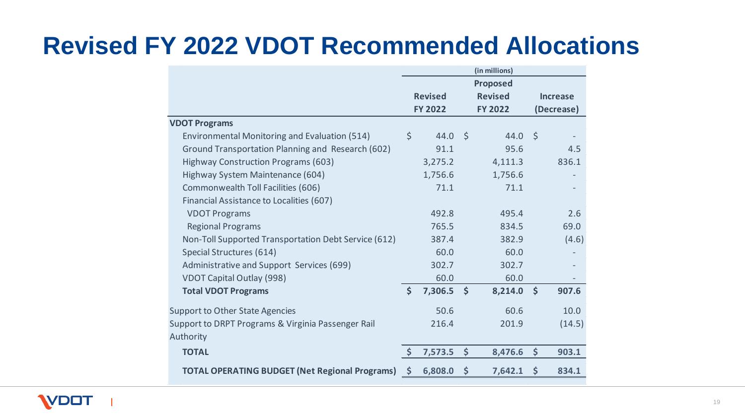### **Revised FY 2022 VDOT Recommended Allocations**

|                                                                 |                     |                |                      | (in millions)   |                      |                 |
|-----------------------------------------------------------------|---------------------|----------------|----------------------|-----------------|----------------------|-----------------|
|                                                                 |                     |                |                      | <b>Proposed</b> |                      |                 |
|                                                                 |                     | <b>Revised</b> |                      | <b>Revised</b>  |                      | <b>Increase</b> |
|                                                                 |                     | <b>FY 2022</b> |                      | <b>FY 2022</b>  |                      | (Decrease)      |
| <b>VDOT Programs</b>                                            |                     |                |                      |                 |                      |                 |
| Environmental Monitoring and Evaluation (514)                   | $\zeta$             | 44.0           | S.                   | 44.0            | $\zeta$              |                 |
| Ground Transportation Planning and Research (602)               |                     | 91.1           |                      | 95.6            |                      | 4.5             |
| Highway Construction Programs (603)                             |                     | 3,275.2        |                      | 4,111.3         |                      | 836.1           |
| Highway System Maintenance (604)                                |                     | 1,756.6        |                      | 1,756.6         |                      |                 |
| Commonwealth Toll Facilities (606)                              |                     | 71.1           |                      | 71.1            |                      |                 |
| Financial Assistance to Localities (607)                        |                     |                |                      |                 |                      |                 |
| <b>VDOT Programs</b>                                            |                     | 492.8          |                      | 495.4           |                      | 2.6             |
| <b>Regional Programs</b>                                        |                     | 765.5          |                      | 834.5           |                      | 69.0            |
| Non-Toll Supported Transportation Debt Service (612)            |                     | 387.4          |                      | 382.9           |                      | (4.6)           |
| Special Structures (614)                                        |                     | 60.0           |                      | 60.0            |                      |                 |
| Administrative and Support Services (699)                       |                     | 302.7          |                      | 302.7           |                      |                 |
| <b>VDOT Capital Outlay (998)</b>                                |                     | 60.0           |                      | 60.0            |                      |                 |
| <b>Total VDOT Programs</b>                                      | $\mathsf{\dot{S}}$  | 7,306.5        | $\mathsf{\dot{S}}$   | 8,214.0         | $\boldsymbol{\zeta}$ | 907.6           |
| <b>Support to Other State Agencies</b>                          |                     | 50.6           |                      | 60.6            |                      | 10.0            |
| Support to DRPT Programs & Virginia Passenger Rail<br>Authority |                     | 216.4          |                      | 201.9           |                      | (14.5)          |
| <b>TOTAL</b>                                                    | $\ddot{\bm{\zeta}}$ | 7,573.5        | $\boldsymbol{\zeta}$ | 8,476.6         | $\varsigma$          | 903.1           |
| <b>TOTAL OPERATING BUDGET (Net Regional Programs)</b>           | $\mathsf{S}$        | 6,808.0        | \$                   | 7,642.1         | $\varsigma$          | 834.1           |
|                                                                 |                     |                |                      |                 |                      |                 |

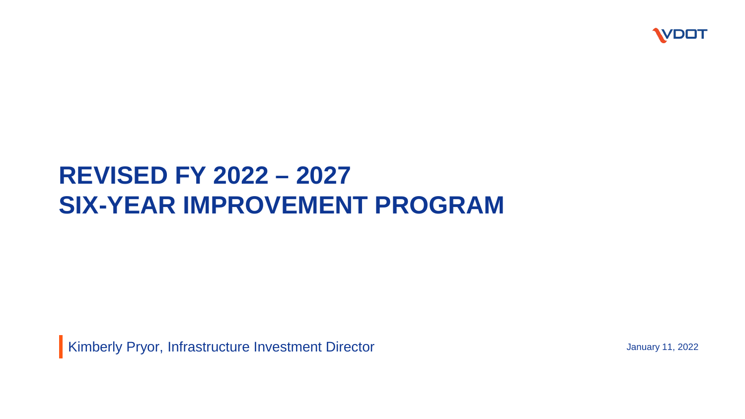

### **REVISED FY 2022 – 2027 SIX-YEAR IMPROVEMENT PROGRAM**

Kimberly Pryor, Infrastructure Investment Director January 11, 2022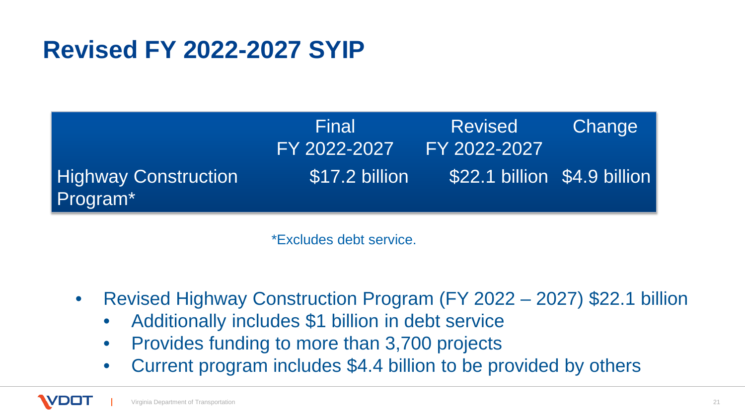## **Revised FY 2022-2027 SYIP**

|                                         | Final<br>FY 2022-2027 | <b>Revised</b><br>FY 2022-2027 | Change |
|-----------------------------------------|-----------------------|--------------------------------|--------|
| <b>Highway Construction</b><br>Program* | \$17.2 billion        | \$22.1 billion \$4.9 billion   |        |

\*Excludes debt service.

- Revised Highway Construction Program (FY 2022 2027) \$22.1 billion
	- Additionally includes \$1 billion in debt service
	- Provides funding to more than 3,700 projects
	- Current program includes \$4.4 billion to be provided by others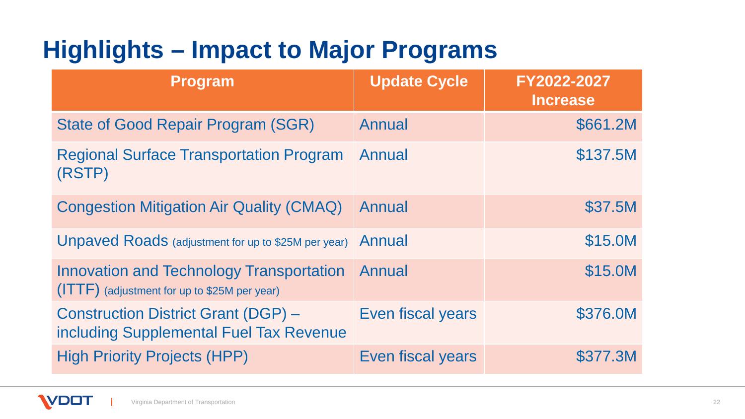# **Highlights – Impact to Major Programs**

| <b>Program</b>                                                                                  | <b>Update Cycle</b> | FY2022-2027<br><b>Increase</b> |
|-------------------------------------------------------------------------------------------------|---------------------|--------------------------------|
| <b>State of Good Repair Program (SGR)</b>                                                       | Annual              | \$661.2M                       |
| <b>Regional Surface Transportation Program</b><br>(RSTP)                                        | Annual              | \$137.5M                       |
| <b>Congestion Mitigation Air Quality (CMAQ)</b>                                                 | <b>Annual</b>       | \$37.5M                        |
| <b>Unpaved Roads</b> (adjustment for up to \$25M per year)                                      | Annual              | \$15.0M                        |
| <b>Innovation and Technology Transportation</b><br>(ITTF) (adjustment for up to \$25M per year) | Annual              | \$15.0M                        |
| <b>Construction District Grant (DGP) -</b><br>including Supplemental Fuel Tax Revenue           | Even fiscal years   | \$376.0M                       |
| <b>High Priority Projects (HPP)</b>                                                             | Even fiscal years   | \$377.3M                       |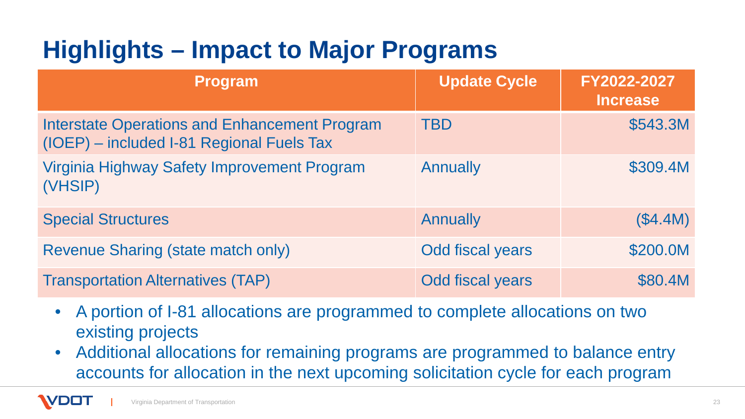# **Highlights – Impact to Major Programs**

| <b>Program</b>                                                                                    | <b>Update Cycle</b>     | FY2022-2027<br><b>Increase</b> |
|---------------------------------------------------------------------------------------------------|-------------------------|--------------------------------|
| <b>Interstate Operations and Enhancement Program</b><br>(IOEP) – included I-81 Regional Fuels Tax | <b>TBD</b>              | \$543.3M                       |
| Virginia Highway Safety Improvement Program<br>(VHSIP)                                            | <b>Annually</b>         | \$309.4M                       |
| <b>Special Structures</b>                                                                         | <b>Annually</b>         | (\$4.4M)                       |
| <b>Revenue Sharing (state match only)</b>                                                         | <b>Odd fiscal years</b> | \$200.0M                       |
| <b>Transportation Alternatives (TAP)</b>                                                          | Odd fiscal years        | \$80.4M                        |

- A portion of I-81 allocations are programmed to complete allocations on two existing projects
- Additional allocations for remaining programs are programmed to balance entry accounts for allocation in the next upcoming solicitation cycle for each program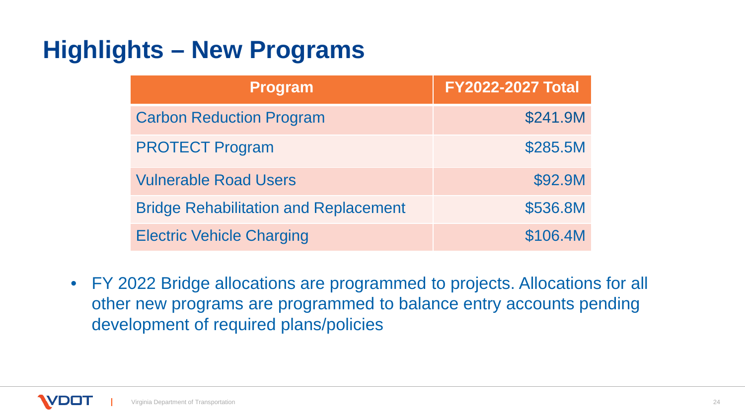# **Highlights – New Programs**

| <b>Program</b>                               | <b>FY2022-2027 Total</b> |
|----------------------------------------------|--------------------------|
| <b>Carbon Reduction Program</b>              | \$241.9M                 |
| <b>PROTECT Program</b>                       | \$285.5M                 |
| <b>Vulnerable Road Users</b>                 | \$92.9M                  |
| <b>Bridge Rehabilitation and Replacement</b> | \$536.8M                 |
| <b>Electric Vehicle Charging</b>             | \$106.4M                 |

• FY 2022 Bridge allocations are programmed to projects. Allocations for all other new programs are programmed to balance entry accounts pending development of required plans/policies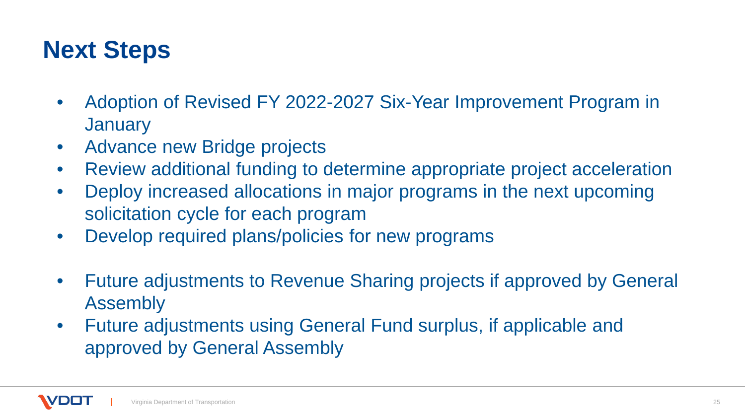### **Next Steps**

- Adoption of Revised FY 2022-2027 Six-Year Improvement Program in **January**
- Advance new Bridge projects
- Review additional funding to determine appropriate project acceleration
- Deploy increased allocations in major programs in the next upcoming solicitation cycle for each program
- Develop required plans/policies for new programs
- Future adjustments to Revenue Sharing projects if approved by General Assembly
- Future adjustments using General Fund surplus, if applicable and approved by General Assembly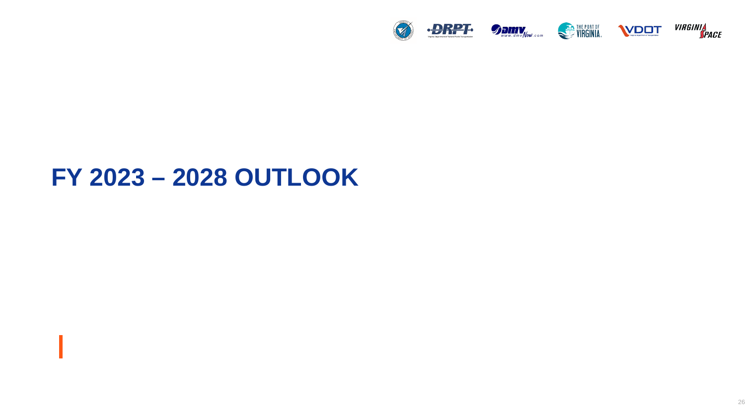

#### **FY 2023 – 2028 OUTLOOK**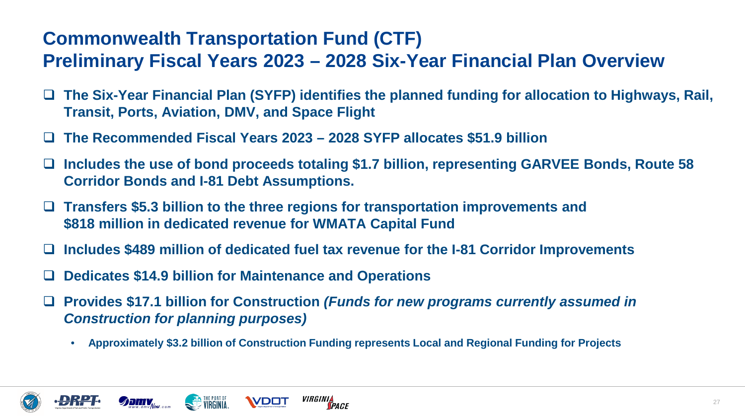#### **Commonwealth Transportation Fund (CTF) Preliminary Fiscal Years 2023 – 2028 Six-Year Financial Plan Overview**

- **The Six-Year Financial Plan (SYFP) identifies the planned funding for allocation to Highways, Rail, Transit, Ports, Aviation, DMV, and Space Flight**
- **The Recommended Fiscal Years 2023 – 2028 SYFP allocates \$51.9 billion**
- **Includes the use of bond proceeds totaling \$1.7 billion, representing GARVEE Bonds, Route 58 Corridor Bonds and I-81 Debt Assumptions.**
- **Transfers \$5.3 billion to the three regions for transportation improvements and \$818 million in dedicated revenue for WMATA Capital Fund**
- **Includes \$489 million of dedicated fuel tax revenue for the I-81 Corridor Improvements**
- **Dedicates \$14.9 billion for Maintenance and Operations**

**WIRGINIA.** 

- **Provides \$17.1 billion for Construction** *(Funds for new programs currently assumed in Construction for planning purposes)*
	- **Approximately \$3.2 billion of Construction Funding represents Local and Regional Funding for Projects**

*VIRGINIA<br>Space* 





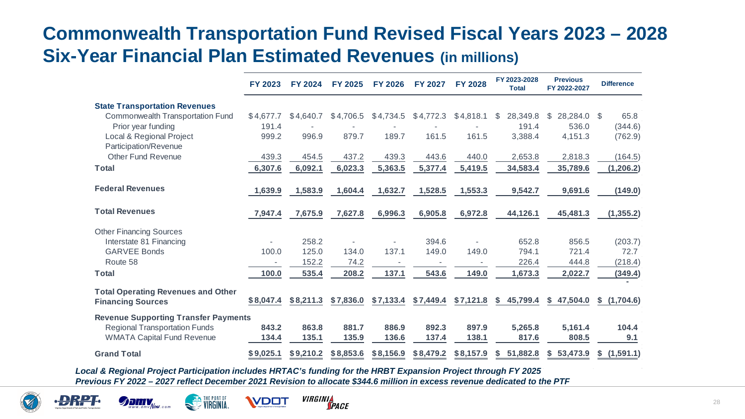#### **Commonwealth Transportation Fund Revised Fiscal Years 2023 – 2028 Six-Year Financial Plan Estimated Revenues (in millions)**

|                                                   | <b>FY 2023</b> | <b>FY 2024</b> | <b>FY 2025</b> | <b>FY 2026</b> | <b>FY 2027</b> | <b>FY 2028</b> | FY 2023-2028<br><b>Total</b> | <b>Previous</b><br>FY 2022-2027 | <b>Difference</b> |
|---------------------------------------------------|----------------|----------------|----------------|----------------|----------------|----------------|------------------------------|---------------------------------|-------------------|
| <b>State Transportation Revenues</b>              |                |                |                |                |                |                |                              |                                 |                   |
| <b>Commonwealth Transportation Fund</b>           | \$4,677.7      | \$4,640.7      | \$4,706.5      | \$4,734.5      | \$4,772.3      | \$4,818.1      | 28,349.8<br>S                | 28,284.0<br>\$                  | 65.8<br>\$        |
| Prior year funding                                | 191.4          |                |                |                |                |                | 191.4                        | 536.0                           | (344.6)           |
| Local & Regional Project<br>Participation/Revenue | 999.2          | 996.9          | 879.7          | 189.7          | 161.5          | 161.5          | 3,388.4                      | 4,151.3                         | (762.9)           |
| <b>Other Fund Revenue</b>                         | 439.3          | 454.5          | 437.2          | 439.3          | 443.6          | 440.0          | 2,653.8                      | 2,818.3                         | (164.5)           |
| <b>Total</b>                                      | 6,307.6        | 6,092.1        | 6,023.3        | 5,363.5        | 5,377.4        | 5,419.5        | 34,583.4                     | 35,789.6                        | (1, 206.2)        |
| <b>Federal Revenues</b>                           | 1,639.9        | 1,583.9        | 1,604.4        | 1,632.7        | 1,528.5        | 1,553.3        | 9,542.7                      | 9,691.6                         | (149.0)           |
| <b>Total Revenues</b>                             | 7,947.4        | 7,675.9        | 7,627.8        | 6,996.3        | 6,905.8        | 6,972.8        | 44,126.1                     | 45,481.3                        | (1, 355.2)        |
| <b>Other Financing Sources</b>                    |                |                |                |                |                |                |                              |                                 |                   |
| Interstate 81 Financing                           |                | 258.2          |                |                | 394.6          |                | 652.8                        | 856.5                           | (203.7)           |
| <b>GARVEE Bonds</b>                               | 100.0          | 125.0          | 134.0          | 137.1          | 149.0          | 149.0          | 794.1                        | 721.4                           | 72.7              |
| Route 58                                          |                | 152.2          | 74.2           |                |                |                | 226.4                        | 444.8                           | (218.4)           |
| <b>Total</b>                                      | 100.0          | 535.4          | 208.2          | 137.1          | 543.6          | 149.0          | 1,673.3                      | 2,022.7                         | (349.4)           |
| <b>Total Operating Revenues and Other</b>         |                |                |                |                |                |                |                              |                                 |                   |
| <b>Financing Sources</b>                          | \$8,047.4      | \$8,211.3      | \$7,836.0      | \$7,133.4      | \$7,449.4      | \$7,121.8      | 45,799.4<br>S.               | \$47,504.0                      | \$(1,704.6)       |
| <b>Revenue Supporting Transfer Payments</b>       |                |                |                |                |                |                |                              |                                 |                   |
| <b>Regional Transportation Funds</b>              | 843.2          | 863.8          | 881.7          | 886.9          | 892.3          | 897.9          | 5,265.8                      | 5,161.4                         | 104.4             |
| <b>WMATA Capital Fund Revenue</b>                 | 134.4          | 135.1          | 135.9          | 136.6          | 137.4          | 138.1          | 817.6                        | 808.5                           | 9.1               |
| <b>Grand Total</b>                                | \$9,025.1      | \$9,210.2      | \$8,853.6      | \$8,156.9      | \$8,479.2      | \$8,157.9      | 51,882.8<br>\$.              | 53,473.9<br>S.                  | \$(1,591.1)       |

*Local & Regional Project Participation includes HRTAC's funding for the HRBT Expansion Project through FY 2025 Previous FY 2022 – 2027 reflect December 2021 Revision to allocate \$344.6 million in excess revenue dedicated to the PTF* 





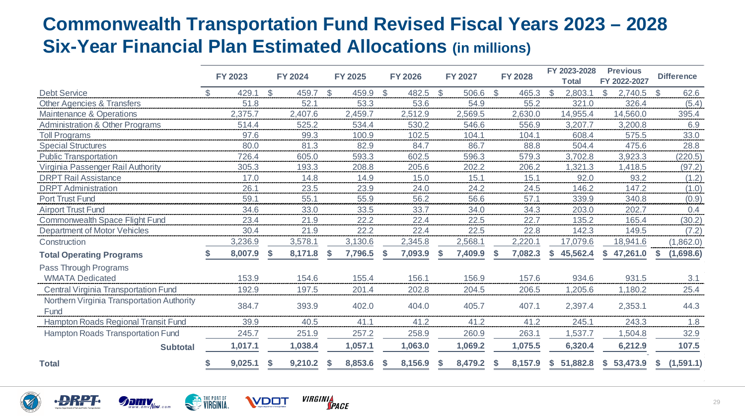#### **Commonwealth Transportation Fund Revised Fiscal Years 2023 – 2028 Six-Year Financial Plan Estimated Allocations (in millions)**

|                                                    | <b>FY 2023</b> |              | <b>FY 2024</b> |     | <b>FY 2025</b> |               | <b>FY 2026</b> |               | <b>FY 2027</b> |              | <b>FY 2028</b> |               | FY 2023-2028<br><b>Total</b> |     | <b>Previous</b><br>FY 2022-2027 |              | <b>Difference</b> |
|----------------------------------------------------|----------------|--------------|----------------|-----|----------------|---------------|----------------|---------------|----------------|--------------|----------------|---------------|------------------------------|-----|---------------------------------|--------------|-------------------|
| <b>Debt Service</b>                                | 429.1          | $\mathbb{S}$ | 459.7          | \$. | 459.9          | $\mathcal{L}$ | 482.5          | $\mathcal{L}$ | 506.6          | $\mathbb{S}$ | 465.3          | <sup>\$</sup> | 2,803.                       | \$. | 2,740.5                         | $\mathbb{S}$ | 62.6              |
| <b>Other Agencies &amp; Transfers</b>              | 51.8           |              | 52.1           |     | 53.3           |               | 53.6           |               | 54.9           |              | 55.2           |               | 321.0                        |     | 326.4                           |              | (5.4)             |
| Maintenance & Operations                           | 2,375.7        |              | 2,407.6        |     | 2,459.7        |               | 2,512.9        |               | 2,569.5        |              | 2,630.0        |               | 14,955.4                     |     | 14,560.0                        |              | 395.4             |
| <b>Administration &amp; Other Programs</b>         | 514.4          |              | 525.2          |     | 534.4          |               | 530.2          |               | 546.6          |              | 556.9          |               | 3,207.7                      |     | 3,200.8                         |              | 6.9               |
| <b>Toll Programs</b>                               | 97.6           |              | 99.3           |     | 100.9          |               | 102.5          |               | 104.1          |              | 104.1          |               | 608.4                        |     | 575.5                           |              | 33.0              |
| <b>Special Structures</b>                          | 80.0           |              | 81.3           |     | 82.9           |               | 84.7           |               | 86.7           |              | 88.8           |               | 504.4                        |     | 475.6                           |              | 28.8              |
| <b>Public Transportation</b>                       | 726.4          |              | 605.0          |     | 593.3          |               | 602.5          |               | 596.3          |              | 579.3          |               | 3,702.8                      |     | 3,923.3                         |              | (220.5)           |
| Virginia Passenger Rail Authority                  | 305.3          |              | 193.3          |     | 208.8          |               | 205.6          |               | 202.2          |              | 206.2          |               | 1,321.3                      |     | 1,418.5                         |              | (97.2)            |
| <b>DRPT Rail Assistance</b>                        | 17.0           |              | 14.8           |     | 14.9           |               | 15.0           |               | 15.1           |              | 15.1           |               | 92.0                         |     | 93.2                            |              | (1.2)             |
| <b>DRPT</b> Administration                         | 26.1           |              | 23.5           |     | 23.9           |               | 24.0           |               | 24.2           |              | 24.5           |               | 146.2                        |     | 147.2                           |              | (1.0)             |
| <b>Port Trust Fund</b>                             | 59.1           |              | 55.1           |     | 55.9           |               | 56.2           |               | 56.6           |              | 57.1           |               | 339.9                        |     | 340.8                           |              | (0.9)             |
| <b>Airport Trust Fund</b>                          | 34.6           |              | 33.0           |     | 33.5           |               | 33.7           |               | 34.0           |              | 34.3           |               | 203.0                        |     | 202.7                           |              | 0.4               |
| Commonwealth Space Flight Fund                     | 23.4           |              | 21.9           |     | 22.2           |               | 22.4           |               | 22.5           |              | 22.7           |               | 135.2                        |     | 165.4                           |              | (30.2)            |
| <b>Department of Motor Vehicles</b>                | 30.4           |              | 21.9           |     | 22.2           |               | 22.4           |               | 22.5           |              | 22.8           |               | 142.3                        |     | 149.5                           |              | (7.2)             |
| Construction                                       | 3,236.9        |              | 3,578.1        |     | 3,130.6        |               | 2,345.8        |               | 2,568.1        |              | 2,220.1        |               | 17,079.6                     |     | 18,941.6                        |              | (1,862.0)         |
| <b>Total Operating Programs</b>                    | 8,007.9        | S            | 8,171.8        |     | 7,796.5        | S.            | 7,093.9        | S             | 7,409.9        |              | 7,082.3        | S             | 45,562.4                     |     | 47,261.0                        |              | (1,698.6)         |
| Pass Through Programs                              |                |              |                |     |                |               |                |               |                |              |                |               |                              |     |                                 |              |                   |
| <b>WMATA Dedicated</b>                             | 153.9          |              | 154.6          |     | 155.4          |               | 156.1          |               | 156.9          |              | 157.6          |               | 934.6                        |     | 931.5                           |              | 3.1               |
| <b>Central Virginia Transportation Fund</b>        | 192.9          |              | 197.5          |     | 201.4          |               | 202.8          |               | 204.5          |              | 206.5          |               | 1,205.6                      |     | 1,180.2                         |              | 25.4              |
| Northern Virginia Transportation Authority<br>Fund | 384.7          |              | 393.9          |     | 402.0          |               | 404.0          |               | 405.7          |              | 407.1          |               | 2,397.4                      |     | 2,353.1                         |              | 44.3              |
| Hampton Roads Regional Transit Fund                | 39.9           |              | 40.5           |     | 41.1           |               | 41.2           |               | 41.2           |              | 41.2           |               | 245.1                        |     | 243.3                           |              | 1.8               |
| Hampton Roads Transportation Fund                  | 245.7          |              | 251.9          |     | 257.2          |               | 258.9          |               | 260.9          |              | 263.1          |               | 1,537.7                      |     | ,504.8                          |              | 32.9              |
| <b>Subtotal</b>                                    | 1,017.1        |              | 1,038.4        |     | 1,057.1        |               | 1,063.0        |               | 1,069.2        |              | 1,075.5        |               | 6,320.4                      |     | 6,212.9                         |              | 107.5             |
| <b>Total</b>                                       | 9,025.1        | 5            | 9,210.2        |     | 8,853.6        | <sup>\$</sup> | 8,156.9        | $\mathbf{S}$  | 8,479.2        |              | 8,157.9        | S.            | 51,882.8                     |     | \$53,473.9                      | S            | (1,591.1)         |





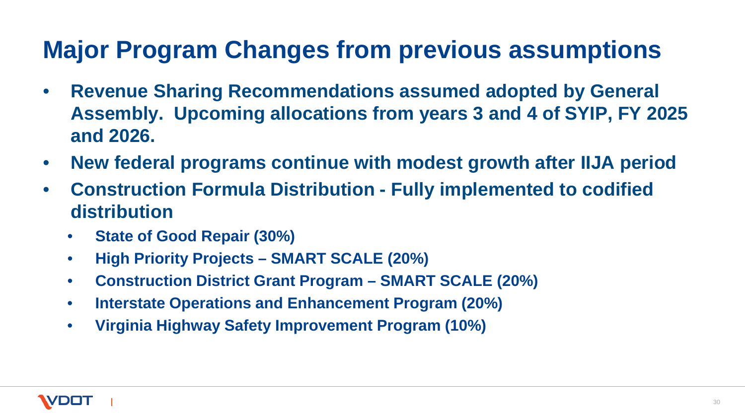# **Major Program Changes from previous assumptions**

- **Revenue Sharing Recommendations assumed adopted by General Assembly. Upcoming allocations from years 3 and 4 of SYIP, FY 2025 and 2026.**
- **New federal programs continue with modest growth after IIJA period**
- **Construction Formula Distribution - Fully implemented to codified distribution**
	- **State of Good Repair (30%)**
	- **High Priority Projects – SMART SCALE (20%)**
	- **Construction District Grant Program – SMART SCALE (20%)**
	- **Interstate Operations and Enhancement Program (20%)**
	- **Virginia Highway Safety Improvement Program (10%)**

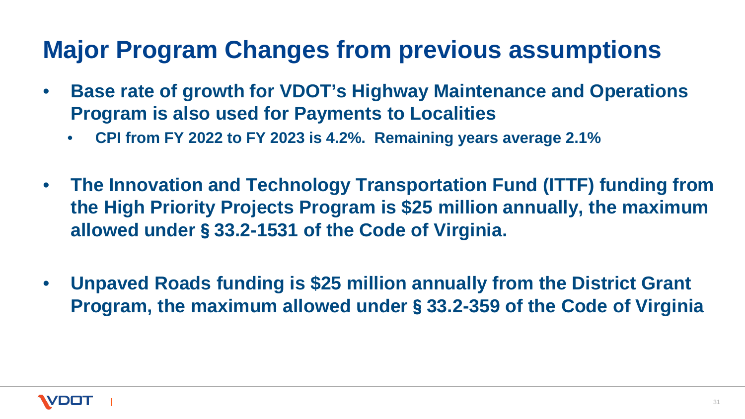### **Major Program Changes from previous assumptions**

- **Base rate of growth for VDOT's Highway Maintenance and Operations Program is also used for Payments to Localities**
	- **CPI from FY 2022 to FY 2023 is 4.2%. Remaining years average 2.1%**
- **The Innovation and Technology Transportation Fund (ITTF) funding from the High Priority Projects Program is \$25 million annually, the maximum allowed under**§**33.2-1531 of the Code of Virginia.**
- **Unpaved Roads funding is \$25 million annually from the District Grant Program, the maximum allowed under**§**33.2-359 of the Code of Virginia**

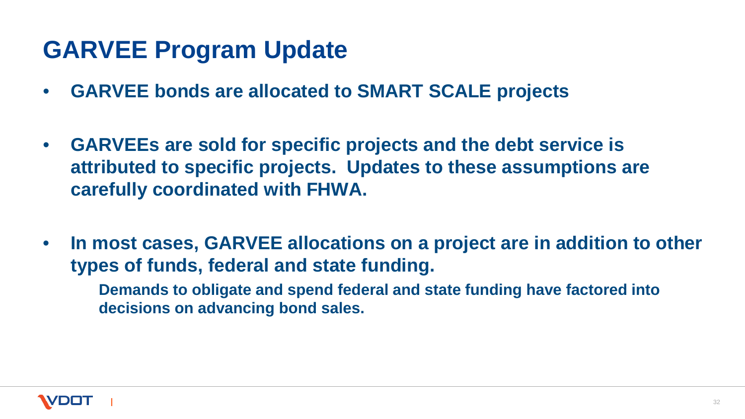### **GARVEE Program Update**

- **GARVEE bonds are allocated to SMART SCALE projects**
- **GARVEEs are sold for specific projects and the debt service is attributed to specific projects. Updates to these assumptions are carefully coordinated with FHWA.**
- **In most cases, GARVEE allocations on a project are in addition to other types of funds, federal and state funding.**

**Demands to obligate and spend federal and state funding have factored into decisions on advancing bond sales.**

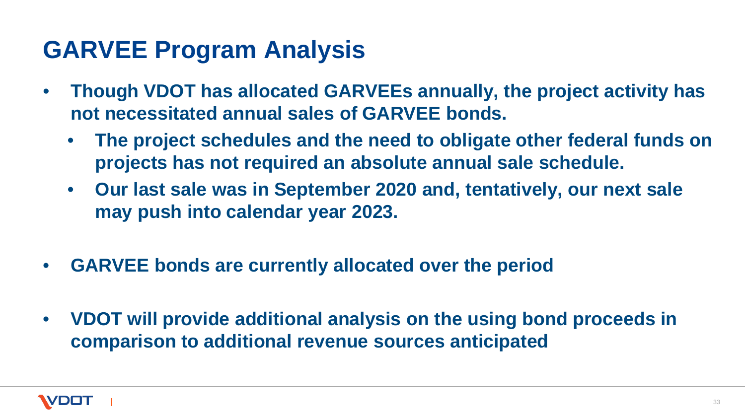#### **GARVEE Program Analysis**

- **Though VDOT has allocated GARVEEs annually, the project activity has not necessitated annual sales of GARVEE bonds.**
	- **The project schedules and the need to obligate other federal funds on projects has not required an absolute annual sale schedule.**
	- **Our last sale was in September 2020 and, tentatively, our next sale may push into calendar year 2023.**
- **GARVEE bonds are currently allocated over the period**
- **VDOT will provide additional analysis on the using bond proceeds in comparison to additional revenue sources anticipated**